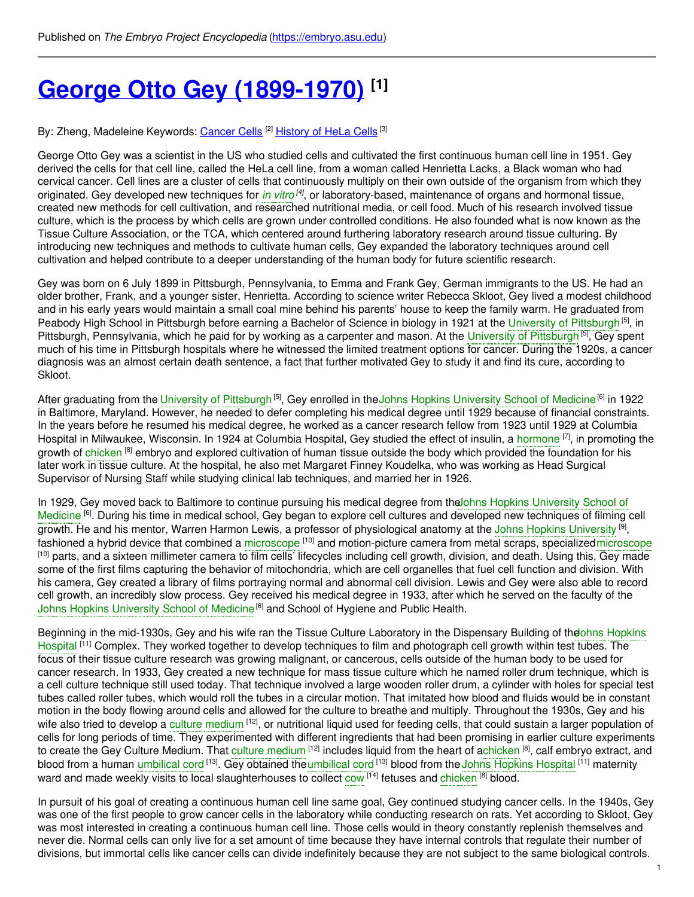# **George Otto Gey [\(1899-1970\)](https://embryo.asu.edu/pages/george-otto-gey-1899-1970) [1]**

By: Zheng, Madeleine Keywords: <u>[Cancer](https://embryo.asu.edu/keywords/cancer-cells) Cells</u> <sup>[2]</sup> <u>[History](https://embryo.asu.edu/keywords/history-hela-cells) of HeLa Cells</u> [<sup>3]</sup>

George Otto Gey was a scientist in the US who studied cells and cultivated the first continuous human cell line in 1951. Gey derived the cells for that cell line, called the HeLa cell line, from a woman called Henrietta Lacks, a Black woman who had cervical cancer. Cell lines are a cluster of cells that continuously multiply on their own outside of the organism from which they originated. Gey developed new techniques for *in [vitro](https://embryo.asu.edu/search?text=in%20vitro)<sup>[4]</sup>,* or laboratory-based, maintenance of organs and hormonal tissue, created new methods for cell cultivation, and researched nutritional media, or cell food. Much of his research involved tissue culture, which is the process by which cells are grown under controlled conditions. He also founded what is now known as the Tissue Culture Association, or the TCA, which centered around furthering laboratory research around tissue culturing. By introducing new techniques and methods to cultivate human cells, Gey expanded the laboratory techniques around cell cultivation and helped contribute to a deeper understanding of the human body for future scientific research.

Gey was born on 6 July 1899 in Pittsburgh, Pennsylvania, to Emma and Frank Gey, German immigrants to the US. He had an older brother, Frank, and a younger sister, Henrietta. According to science writer Rebecca Skloot, Gey lived a modest childhood and in his early years would maintain a small coal mine behind his parents' house to keep the family warm. He graduated from Peabody High School in [Pittsburgh](https://embryo.asu.edu/search?text=University%20of%20Pittsburgh) before earning a Bachelor of Science in biology in 1921 at the University of Pittsburgh<sup>[5]</sup>, in [Pittsburgh](https://embryo.asu.edu/search?text=University%20of%20Pittsburgh), Pennsylvania, which he paid for by working as a carpenter and mason. At the University of Pittsburgh<sup>[5]</sup>, Gey spent much of his time in Pittsburgh hospitals where he witnessed the limited treatment options for cancer. During the 1920s, a cancer diagnosis was an almost certain death sentence, a fact that further motivated Gey to study it and find its cure, according to Skloot.

After graduating from the [University](https://embryo.asu.edu/search?text=Johns%20Hopkins%20University%20School%20of%20Medicine) of Pittsburgh <sup>[5]</sup>, Gey enrolled in theJohns Hopkins University School of Medicine<sup>[6]</sup> in 1922 in Baltimore, Maryland. However, he needed to defer completing his medical degree until 1929 because of financial constraints. In the years before he resumed his medical degree, he worked as a cancer research fellow from 1923 until 1929 at Columbia Hospital in Milwaukee, Wisconsin. In 1924 at Columbia Hospital, Gey studied the effect of insulin, a [hormone](https://embryo.asu.edu/search?text=hormone) <sup>[7]</sup>, in promoting the growth of [chicken](https://embryo.asu.edu/search?text=chicken) <sup>[8]</sup> embryo and explored cultivation of human tissue outside the body which provided the foundation for his later work in tissue culture. At the hospital, he also met Margaret Finney Koudelka, who was working as Head Surgical Supervisor of Nursing Staff while studying clinical lab techniques, and married her in 1926.

In 1929, Gey moved back to Baltimore to continue pursuing his medical degree from theJohns Hopkins University School of Medicine <sup>[6]</sup>. During his time in medical school, Gey began to explore cell cultures and developed new [techniques](https://embryo.asu.edu/search?text=Johns%20Hopkins%20University%20School%20of%20Medicine) of filming cell growth. He and his mentor, Warren Harmon Lewis, a professor of physiological anatomy at the Johns Hopkins [University](https://embryo.asu.edu/search?text=Johns%20Hopkins%20University) <sup>[9]</sup>, fashioned a hybrid device that combined a [microscope](https://embryo.asu.edu/search?text=microscope) <sup>[10]</sup> and motion-picture camera from metal scraps, specializedmicroscope [10] parts, and a sixteen millimeter camera to film cells' lifecycles including cell growth, division, and death. Using this, Gey made some of the first films capturing the behavior of mitochondria, which are cell organelles that fuel cell function and division. With his camera, Gey created a library of films portraying normal and abnormal cell division. Lewis and Gey were also able to record cell growth, an incredibly slow process. Gey received his medical degree in 1933, after which he served on the faculty of the Johns Hopkins [University](https://embryo.asu.edu/search?text=Johns%20Hopkins%20University%20School%20of%20Medicine) School of Medicine<sup>[6]</sup> and School of Hygiene and Public Health.

Beginning in the mid-1930s, Gey and his wife ran the Tissue Culture Laboratory in the Dispensary Building of the ohns Hopkins Hospital <sup>[11]</sup> Complex. They worked together to develop techniques to film and [photograph](https://embryo.asu.edu/search?text=Johns%20Hopkins%20Hospital) cell growth within test tubes. The focus of their tissue culture research was growing malignant, or cancerous, cells outside of the human body to be used for cancer research. In 1933, Gey created a new technique for mass tissue culture which he named roller drum technique, which is a cell culture technique still used today. That technique involved a large wooden roller drum, a cylinder with holes for special test tubes called roller tubes, which would roll the tubes in a circular motion. That imitated how blood and fluids would be in constant motion in the body flowing around cells and allowed for the culture to breathe and multiply. Throughout the 1930s, Gey and his wife also tried to develop a culture [medium](https://embryo.asu.edu/search?text=culture%20medium) <sup>[12]</sup>, or nutritional liquid used for feeding cells, that could sustain a larger population of cells for long periods of time. They experimented with different ingredients that had been promising in earlier culture experiments to create the Gey Culture Medium. That culture [medium](https://embryo.asu.edu/search?text=culture%20medium) <sup>[12]</sup> includes liquid from the heart of [achicken](https://embryo.asu.edu/search?text=chicken) <sup>[8]</sup>, calf embryo extract, and blood from a human [umbilical](https://embryo.asu.edu/search?text=umbilical%20cord) cord <sup>[13]</sup>. Gey obtained theumbilical cord <sup>[13]</sup> blood from the Johns [Hopkins](https://embryo.asu.edu/search?text=Johns%20Hopkins%20Hospital) Hospital <sup>[11]</sup> maternity ward and made weekly visits to local slaughterhouses to collect [cow](https://embryo.asu.edu/search?text=cow) <sup>[14]</sup> fetuses and [chicken](https://embryo.asu.edu/search?text=chicken) <sup>[8]</sup> blood.

In pursuit of his goal of creating a continuous human cell line same goal, Gey continued studying cancer cells. In the 1940s, Gey was one of the first people to grow cancer cells in the laboratory while conducting research on rats. Yet according to Skloot, Gey was most interested in creating a continuous human cell line. Those cells would in theory constantly replenish themselves and never die. Normal cells can only live for a set amount of time because they have internal controls that regulate their number of divisions, but immortal cells like cancer cells can divide indefinitely because they are not subject to the same biological controls.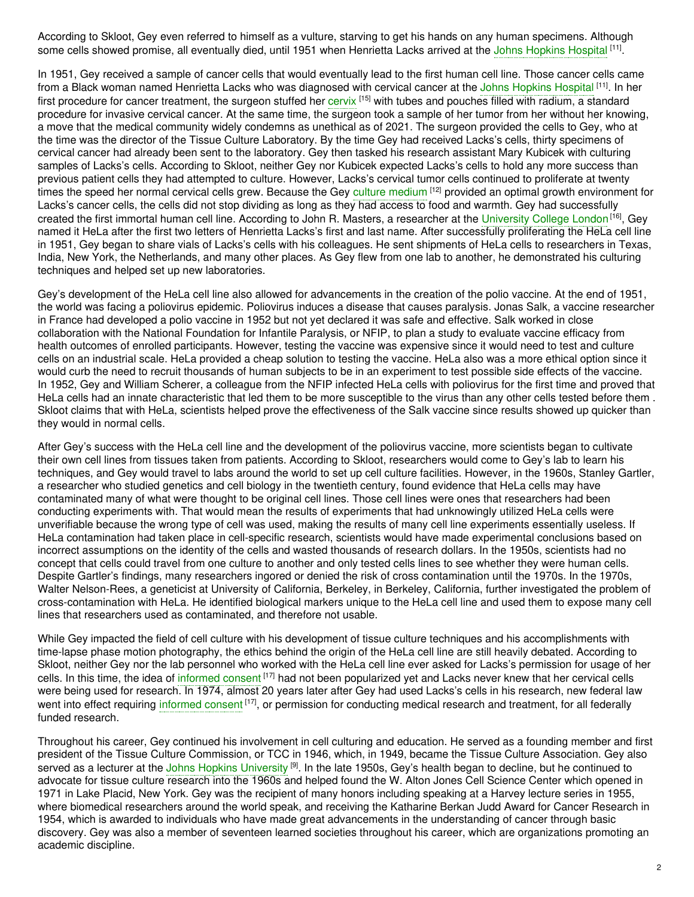According to Skloot, Gey even referred to himself as a vulture, starving to get his hands on any human specimens. Although some cells showed promise, all eventually died, until 1951 when Henrietta Lacks arrived at the Johns [Hopkins](https://embryo.asu.edu/search?text=Johns%20Hopkins%20Hospital) Hospital [11].

In 1951, Gey received a sample of cancer cells that would eventually lead to the first human cell line. Those cancer cells came from a Black woman named Henrietta Lacks who was diagnosed with cervical cancer at the Johns [Hopkins](https://embryo.asu.edu/search?text=Johns%20Hopkins%20Hospital) Hospital [11]. In her first procedure for cancer treatment, the surgeon stuffed her [cervix](https://embryo.asu.edu/search?text=cervix) [15] with tubes and pouches filled with radium, a standard procedure for invasive cervical cancer. At the same time, the surgeon took a sample of her tumor from her without her knowing, a move that the medical community widely condemns as unethical as of 2021. The surgeon provided the cells to Gey, who at the time was the director of the Tissue Culture Laboratory. By the time Gey had received Lacks's cells, thirty specimens of cervical cancer had already been sent to the laboratory. Gey then tasked his research assistant Mary Kubicek with culturing samples of Lacks's cells. According to Skloot, neither Gey nor Kubicek expected Lacks's cells to hold any more success than previous patient cells they had attempted to culture. However, Lacks's cervical tumor cells continued to proliferate at twenty times the speed her normal cervical cells grew. Because the Gey culture [medium](https://embryo.asu.edu/search?text=culture%20medium) [12] provided an optimal growth environment for Lacks's cancer cells, the cells did not stop dividing as long as they had access to food and warmth. Gey had successfully created the first immortal human cell line. According to John R. Masters, a researcher at the [University](https://embryo.asu.edu/search?text=University%20College%20London) College London<sup>[16]</sup>, Gey named it HeLa after the first two letters of Henrietta Lacks's first and last name. After successfully proliferating the HeLa cell line in 1951, Gey began to share vials of Lacks's cells with his colleagues. He sent shipments of HeLa cells to researchers in Texas, India, New York, the Netherlands, and many other places. As Gey flew from one lab to another, he demonstrated his culturing techniques and helped set up new laboratories.

Gey's development of the HeLa cell line also allowed for advancements in the creation of the polio vaccine. At the end of 1951, the world was facing a poliovirus epidemic. Poliovirus induces a disease that causes paralysis. Jonas Salk, a vaccine researcher in France had developed a polio vaccine in 1952 but not yet declared it was safe and effective. Salk worked in close collaboration with the National Foundation for Infantile Paralysis, or NFIP, to plan a study to evaluate vaccine efficacy from health outcomes of enrolled participants. However, testing the vaccine was expensive since it would need to test and culture cells on an industrial scale. HeLa provided a cheap solution to testing the vaccine. HeLa also was a more ethical option since it would curb the need to recruit thousands of human subjects to be in an experiment to test possible side effects of the vaccine. In 1952, Gey and William Scherer, a colleague from the NFIP infected HeLa cells with poliovirus for the first time and proved that HeLa cells had an innate characteristic that led them to be more susceptible to the virus than any other cells tested before them . Skloot claims that with HeLa, scientists helped prove the effectiveness of the Salk vaccine since results showed up quicker than they would in normal cells.

After Gey's success with the HeLa cell line and the development of the poliovirus vaccine, more scientists began to cultivate their own cell lines from tissues taken from patients. According to Skloot, researchers would come to Gey's lab to learn his techniques, and Gey would travel to labs around the world to set up cell culture facilities. However, in the 1960s, Stanley Gartler, a researcher who studied genetics and cell biology in the twentieth century, found evidence that HeLa cells may have contaminated many of what were thought to be original cell lines. Those cell lines were ones that researchers had been conducting experiments with. That would mean the results of experiments that had unknowingly utilized HeLa cells were unverifiable because the wrong type of cell was used, making the results of many cell line experiments essentially useless. If HeLa contamination had taken place in cell-specific research, scientists would have made experimental conclusions based on incorrect assumptions on the identity of the cells and wasted thousands of research dollars. In the 1950s, scientists had no concept that cells could travel from one culture to another and only tested cells lines to see whether they were human cells. Despite Gartler's findings, many researchers ingored or denied the risk of cross contamination until the 1970s. In the 1970s, Walter Nelson-Rees, a geneticist at University of California, Berkeley, in Berkeley, California, further investigated the problem of cross-contamination with HeLa. He identified biological markers unique to the HeLa cell line and used them to expose many cell lines that researchers used as contaminated, and therefore not usable.

While Gey impacted the field of cell culture with his development of tissue culture techniques and his accomplishments with time-lapse phase motion photography, the ethics behind the origin of the HeLa cell line are still heavily debated. According to Skloot, neither Gey nor the lab personnel who worked with the HeLa cell line ever asked for Lacks's permission for usage of her cells. In this time, the idea of [informed](https://embryo.asu.edu/search?text=informed%20consent) consent <sup>[17]</sup> had not been popularized yet and Lacks never knew that her cervical cells were being used for research. In 1974, almost 20 years later after Gey had used Lacks's cells in his research, new federal law went into effect requiring [informed](https://embryo.asu.edu/search?text=informed%20consent) consent <sup>[17]</sup>, or permission for conducting medical research and treatment, for all federally funded research.

Throughout his career, Gey continued his involvement in cell culturing and education. He served as a founding member and first president of the Tissue Culture Commission, or TCC in 1946, which, in 1949, became the Tissue Culture Association. Gey also served as a lecturer at the Johns Hopkins [University](https://embryo.asu.edu/search?text=Johns%20Hopkins%20University) <sup>[9]</sup>. In the late 1950s, Gey's health began to decline, but he continued to advocate for tissue culture research into the 1960s and helped found the W. Alton Jones Cell Science Center which opened in 1971 in Lake Placid, New York. Gey was the recipient of many honors including speaking at a Harvey lecture series in 1955, where biomedical researchers around the world speak, and receiving the Katharine Berkan Judd Award for Cancer Research in 1954, which is awarded to individuals who have made great advancements in the understanding of cancer through basic discovery. Gey was also a member of seventeen learned societies throughout his career, which are organizations promoting an academic discipline.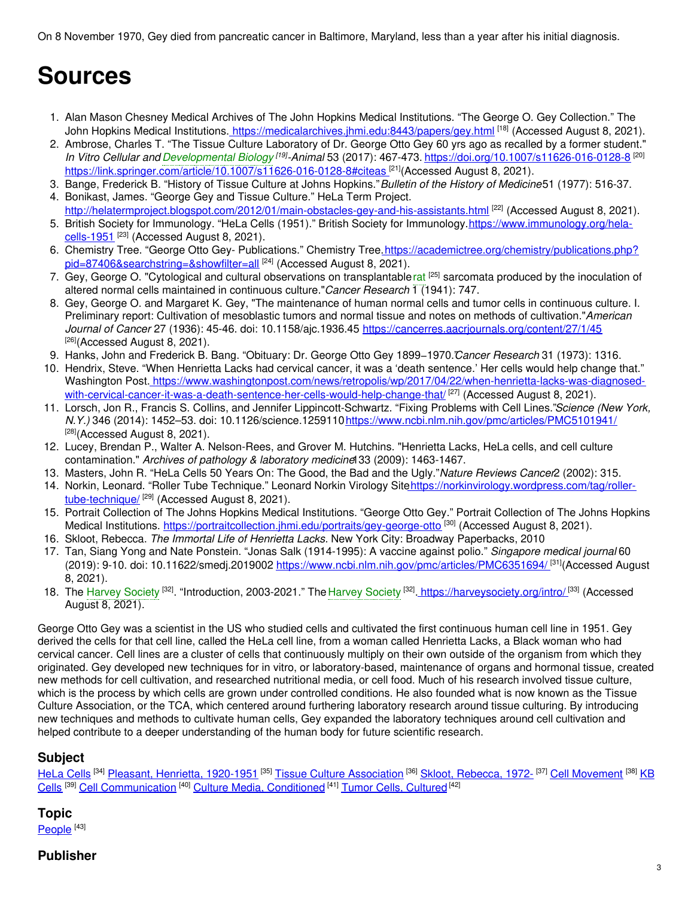On 8 November 1970, Gey died from pancreatic cancer in Baltimore, Maryland, less than a year after his initial diagnosis.

# **Sources**

- 1. Alan Mason Chesney Medical Archives of The John Hopkins Medical Institutions. "The George O. Gey Collection." The John Hopkins Medical Institutions. <u><https://medicalarchives.jhmi.edu:8443/papers/gey.html> [18]</u> (Accessed August 8, 2021).
- 2. Ambrose, Charles T. "The Tissue Culture Laboratory of Dr. George Otto Gey 60 yrs ago as recalled by a former student." *In Vitro Cellular and [Developmental](https://embryo.asu.edu/search?text=Developmental%20Biology) Biology [19]-Animal* 53 (2017): 467-473. <https://doi.org/10.1007/s11626-016-0128-8> [20] <https://link.springer.com/article/10.1007/s11626-016-0128-8#citeas><sup>[21]</sup>(Accessed August 8, 2021).
- 3. Bange, Frederick B. "History of Tissue Culture at Johns Hopkins."*Bulletin of the History of Medicine*51 (1977): 516-37. 4. Bonikast, James. "George Gey and Tissue Culture." HeLa Term Project.
- <http://helatermproject.blogspot.com/2012/01/main-obstacles-gey-and-his-assistants.html> <sup>[22]</sup> (Accessed August 8, 2021). 5. British Society for Immunology. "HeLa Cells (1951)." British Society for [Immunology.https://www.immunology.org/hela-](https://www.immunology.org/hela-cells-1951)
- <u>cells-1951</u> <sup>[23]</sup> (Accessed August 8, 2021). 6. Chemistry Tree. "George Otto Gey- Publications." Chemistry [Tree.https://academictree.org/chemistry/publications.php?](https://academictree.org/chemistry/publications.php?pid=87406&searchstring=&showfilter=all)
- pid=87406&searchstring=&showfilter=all <sup>[24]</sup> (Accessed August 8, 2021).
- 7. Gey, George O. "Cytological and cultural observations on transplantable [rat](https://embryo.asu.edu/search?text=rat) <sup>[25]</sup> sarcomata produced by the inoculation of altered normal cells maintained in continuous culture."*Cancer Research* 1 (1941): 747.
- 8. Gey, George O. and Margaret K. Gey, "The maintenance of human normal cells and tumor cells in continuous culture. I. Preliminary report: Cultivation of mesoblastic tumors and normal tissue and notes on methods of cultivation."*American Journal of Cancer* 27 (1936): 45-46. doi: 10.1158/ajc.1936.45 <https://cancerres.aacrjournals.org/content/27/1/45> [26](Accessed August 8, 2021).
- 9. Hanks, John and Frederick B. Bang. "Obituary: Dr. George Otto Gey 1899−1970."*Cancer Research* 31 (1973): 1316.
- 10. Hendrix, Steve. "When Henrietta Lacks had cervical cancer, it was a 'death sentence.' Her cells would help change that." Washington Post. [https://www.washingtonpost.com/news/retropolis/wp/2017/04/22/when-henrietta-lacks-was-diagnosed](https://www.washingtonpost.com/news/retropolis/wp/2017/04/22/when-henrietta-lacks-was-diagnosed-with-cervical-cancer-it-was-a-death-sentence-her-cells-would-help-change-that/)with-cervical-cancer-it-was-a-death-sentence-her-cells-would-help-change-that/ <sup>[27]</sup> (Accessed August 8, 2021).
- 11. Lorsch, Jon R., Francis S. Collins, and Jennifer Lippincott-Schwartz. "Fixing Problems with Cell Lines."*Science (New York, N.Y.)* 346 (2014): 1452–53. doi: 10.1126/science.1259110<https://www.ncbi.nlm.nih.gov/pmc/articles/PMC5101941/>  $[28]$ (Accessed August 8, 2021).
- 12. Lucey, Brendan P., Walter A. Nelson-Rees, and Grover M. Hutchins. "Henrietta Lacks, HeLa cells, and cell culture contamination." *Archives of pathology & laboratory medicine*133 (2009): 1463-1467.
- 13. Masters, John R. "HeLa Cells 50 Years On: The Good, the Bad and the Ugly."*Nature Reviews Cancer*2 (2002): 315.
- 14. Norkin, Leonard. "Roller Tube Technique." Leonard Norkin Virology [Sitehttps://norkinvirology.wordpress.com/tag/roller](https://norkinvirology.wordpress.com/tag/roller-tube-technique/)tube-technique/ <sup>[29]</sup> (Accessed August 8, 2021).
- 15. Portrait Collection of The Johns Hopkins Medical Institutions. "George Otto Gey." Portrait Collection of The Johns Hopkins Medical Institutions. <https://portraitcollection.jhmi.edu/portraits/gey-george-otto> [30] (Accessed August 8, 2021).
- 16. Skloot, Rebecca. *The Immortal Life of Henrietta Lacks.* New York City: Broadway Paperbacks, 2010
- 17. Tan, Siang Yong and Nate Ponstein. "Jonas Salk (1914-1995): A vaccine against polio." *Singapore medical journal* 60 (2019): 9-10. doi: 10.11622/smedj.2019002 <u><https://www.ncbi.nlm.nih.gov/pmc/articles/PMC6351694/> <sup>[31]</sup>(Accessed August</u> 8, 2021).
- 18. The Harvey [Society](https://embryo.asu.edu/search?text=Harvey%20Society) <sup>[32]</sup>. "Introduction, 2003-2021." The Harvey Society <sup>[32]</sup>. <https://harveysociety.org/intro/> <sup>[33]</sup> (Accessed August 8, 2021).

George Otto Gey was a scientist in the US who studied cells and cultivated the first continuous human cell line in 1951. Gey derived the cells for that cell line, called the HeLa cell line, from a woman called Henrietta Lacks, a Black woman who had cervical cancer. Cell lines are a cluster of cells that continuously multiply on their own outside of the organism from which they originated. Gey developed new techniques for in vitro, or laboratory-based, maintenance of organs and hormonal tissue, created new methods for cell cultivation, and researched nutritional media, or cell food. Much of his research involved tissue culture, which is the process by which cells are grown under controlled conditions. He also founded what is now known as the Tissue Culture Association, or the TCA, which centered around furthering laboratory research around tissue culturing. By introducing new techniques and methods to cultivate human cells, Gey expanded the laboratory techniques around cell cultivation and helped contribute to a deeper understanding of the human body for future scientific research.

## **Subject**

[HeLa](https://embryo.asu.edu/library-congress-subject-headings/hela-cells) Cells <sup>[34]</sup> Pleasant, Henrietta, [1920-1951](https://embryo.asu.edu/library-congress-subject-headings/pleasant-henrietta-1920-1951) <sup>[35]</sup> Tissue Culture [Association](https://embryo.asu.edu/library-congress-subject-headings/tissue-culture-association) <sup>[36]</sup> Skloot, [Rebecca,](https://embryo.asu.edu/library-congress-subject-headings/skloot-rebecca-1972) 1972- <sup>[37]</sup> Cell [Movement](https://embryo.asu.edu/medical-subject-headings/cell-movement) <sup>[38]</sup> KB Cells <sup>[39]</sup> Cell [Communication](https://embryo.asu.edu/medical-subject-headings/kb-cells) <sup>[40]</sup> Culture Media, [Conditioned](https://embryo.asu.edu/medical-subject-headings/culture-media-conditioned) <sup>[41]</sup> Tumor Cells, [Cultured](https://embryo.asu.edu/medical-subject-headings/tumor-cells-cultured) <sup>[42]</sup>

## **Topic**

<u>[People](https://embryo.asu.edu/topics/people)</u> [43]

## **Publisher**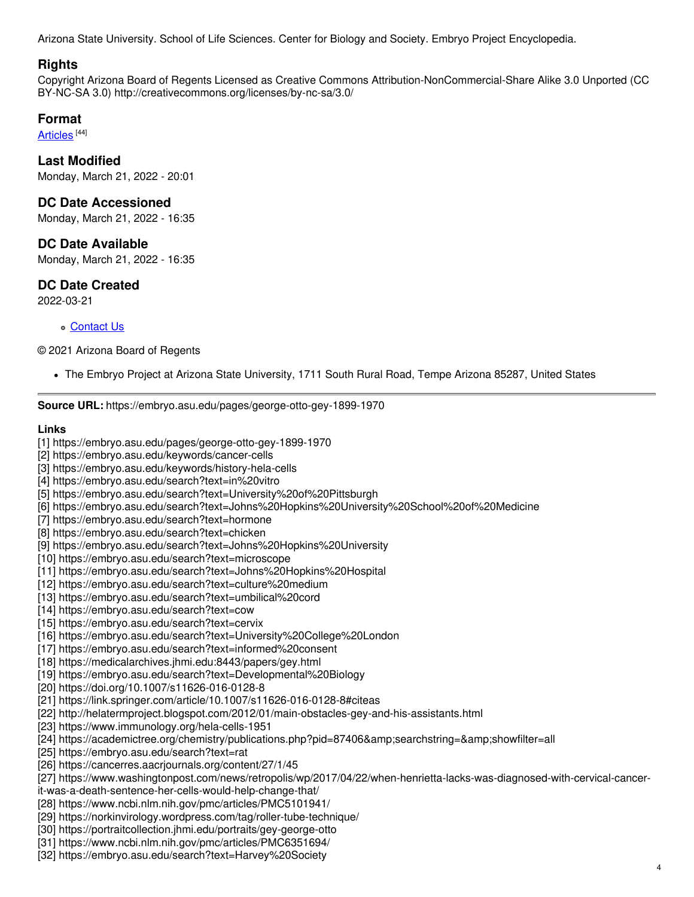Arizona State University. School of Life Sciences. Center for Biology and Society. Embryo Project Encyclopedia.

### **Rights**

Copyright Arizona Board of Regents Licensed as Creative Commons Attribution-NonCommercial-Share Alike 3.0 Unported (CC BY-NC-SA 3.0) http://creativecommons.org/licenses/by-nc-sa/3.0/

#### **Format**

<u>[Articles](https://embryo.asu.edu/formats/articles)</u> [44]

**Last Modified** Monday, March 21, 2022 - 20:01

**DC Date Accessioned** Monday, March 21, 2022 - 16:35

**DC Date Available** Monday, March 21, 2022 - 16:35

**DC Date Created**

2022-03-21

#### [Contact](https://embryo.asu.edu/contact) Us

© 2021 Arizona Board of Regents

The Embryo Project at Arizona State University, 1711 South Rural Road, Tempe Arizona 85287, United States

**Source URL:** https://embryo.asu.edu/pages/george-otto-gey-1899-1970

#### **Links**

- [1] https://embryo.asu.edu/pages/george-otto-gey-1899-1970
- [2] https://embryo.asu.edu/keywords/cancer-cells
- [3] https://embryo.asu.edu/keywords/history-hela-cells
- [4] https://embryo.asu.edu/search?text=in%20vitro
- [5] https://embryo.asu.edu/search?text=University%20of%20Pittsburgh
- [6] https://embryo.asu.edu/search?text=Johns%20Hopkins%20University%20School%20of%20Medicine
- [7] https://embryo.asu.edu/search?text=hormone
- [8] https://embryo.asu.edu/search?text=chicken
- [9] https://embryo.asu.edu/search?text=Johns%20Hopkins%20University
- [10] https://embryo.asu.edu/search?text=microscope
- [11] https://embryo.asu.edu/search?text=Johns%20Hopkins%20Hospital
- [12] https://embryo.asu.edu/search?text=culture%20medium
- [13] https://embryo.asu.edu/search?text=umbilical%20cord
- [14] https://embryo.asu.edu/search?text=cow
- [15] https://embryo.asu.edu/search?text=cervix
- [16] https://embryo.asu.edu/search?text=University%20College%20London
- [17] https://embryo.asu.edu/search?text=informed%20consent
- [18] https://medicalarchives.jhmi.edu:8443/papers/gey.html
- [19] https://embryo.asu.edu/search?text=Developmental%20Biology
- [20] https://doi.org/10.1007/s11626-016-0128-8
- [21] https://link.springer.com/article/10.1007/s11626-016-0128-8#citeas
- [22] http://helatermproject.blogspot.com/2012/01/main-obstacles-gey-and-his-assistants.html
- [23] https://www.immunology.org/hela-cells-1951
- [24] https://academictree.org/chemistry/publications.php?pid=87406&searchstring=&showfilter=all
- [25] https://embryo.asu.edu/search?text=rat
- [26] https://cancerres.aacrjournals.org/content/27/1/45
- [27] https://www.washingtonpost.com/news/retropolis/wp/2017/04/22/when-henrietta-lacks-was-diagnosed-with-cervical-cancer-
- it-was-a-death-sentence-her-cells-would-help-change-that/
- [28] https://www.ncbi.nlm.nih.gov/pmc/articles/PMC5101941/
- [29] https://norkinvirology.wordpress.com/tag/roller-tube-technique/
- [30] https://portraitcollection.jhmi.edu/portraits/gey-george-otto
- [31] https://www.ncbi.nlm.nih.gov/pmc/articles/PMC6351694/
- [32] https://embryo.asu.edu/search?text=Harvey%20Society